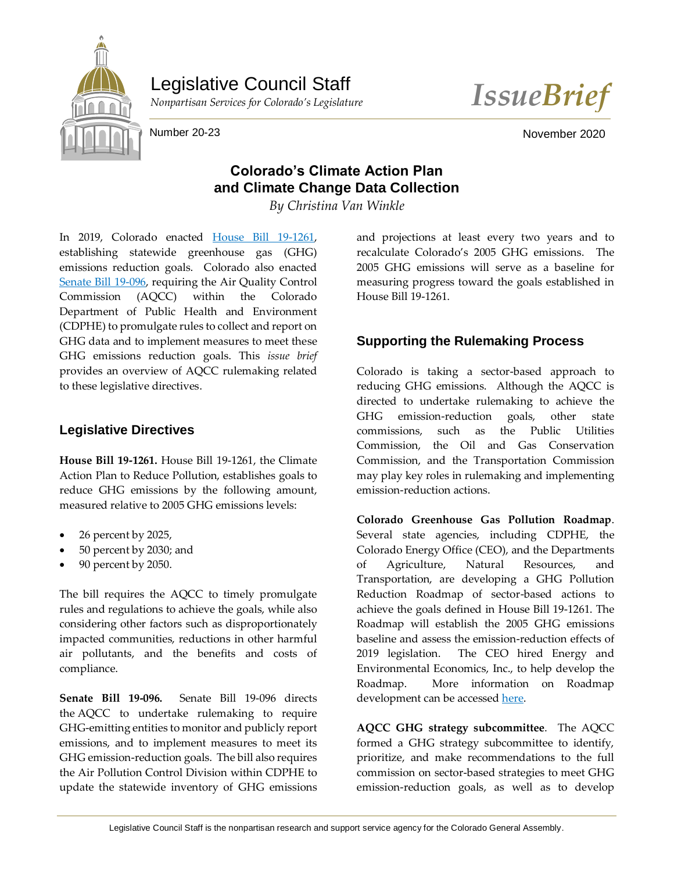

Legislative Council Staff



Number 20-23 November 2020

# **Colorado's Climate Action Plan and Climate Change Data Collection**

*By Christina Van Winkle*

In 2019, Colorado enacted [House Bill 19-1261,](https://leg.colorado.gov/bills/hb19-1261) establishing statewide greenhouse gas (GHG) emissions reduction goals. Colorado also enacted [Senate Bill 19-096,](https://leg.colorado.gov/bills/sb19-096) requiring the Air Quality Control Commission (AQCC) within the Colorado Department of Public Health and Environment (CDPHE) to promulgate rules to collect and report on GHG data and to implement measures to meet these GHG emissions reduction goals. This *issue brief*  provides an overview of AQCC rulemaking related to these legislative directives.

#### **Legislative Directives**

**House Bill 19-1261.** House Bill 19-1261, the Climate Action Plan to Reduce Pollution, establishes goals to reduce GHG emissions by the following amount, measured relative to 2005 GHG emissions levels:

- 26 percent by 2025,
- 50 percent by 2030; and
- 90 percent by 2050.

The bill requires the AQCC to timely promulgate rules and regulations to achieve the goals, while also considering other factors such as disproportionately impacted communities, reductions in other harmful air pollutants, and the benefits and costs of compliance.

**Senate Bill 19-096.** Senate Bill 19-096 directs the AQCC to undertake rulemaking to require GHG-emitting entities to monitor and publicly report emissions, and to implement measures to meet its GHG emission-reduction goals. The bill also requires the Air Pollution Control Division within CDPHE to update the statewide inventory of GHG emissions and projections at least every two years and to recalculate Colorado's 2005 GHG emissions. The 2005 GHG emissions will serve as a baseline for measuring progress toward the goals established in House Bill 19-1261.

## **Supporting the Rulemaking Process**

Colorado is taking a sector-based approach to reducing GHG emissions. Although the AQCC is directed to undertake rulemaking to achieve the GHG emission-reduction goals, other state commissions, such as the Public Utilities Commission, the Oil and Gas Conservation Commission, and the Transportation Commission may play key roles in rulemaking and implementing emission-reduction actions.

**Colorado Greenhouse Gas Pollution Roadmap**. Several state agencies, including CDPHE, the Colorado Energy Office (CEO), and the Departments of Agriculture, Natural Resources, and Transportation, are developing a GHG Pollution Reduction Roadmap of sector-based actions to achieve the goals defined in House Bill 19-1261. The Roadmap will establish the 2005 GHG emissions baseline and assess the emission-reduction effects of 2019 legislation. The CEO hired Energy and Environmental Economics, Inc., to help develop the Roadmap. More information on Roadmap development can be accessed [here.](https://energyoffice.colorado.gov/climate-energy/ghg-pollution-reduction-roadmap#:~:text=Sets%20Colorado%20statewide%20goals%20to,emissions%20that%20existed%20in%202005.)

**AQCC GHG strategy subcommittee**. The AQCC formed a GHG strategy subcommittee to identify, prioritize, and make recommendations to the full commission on sector-based strategies to meet GHG emission-reduction goals, as well as to develop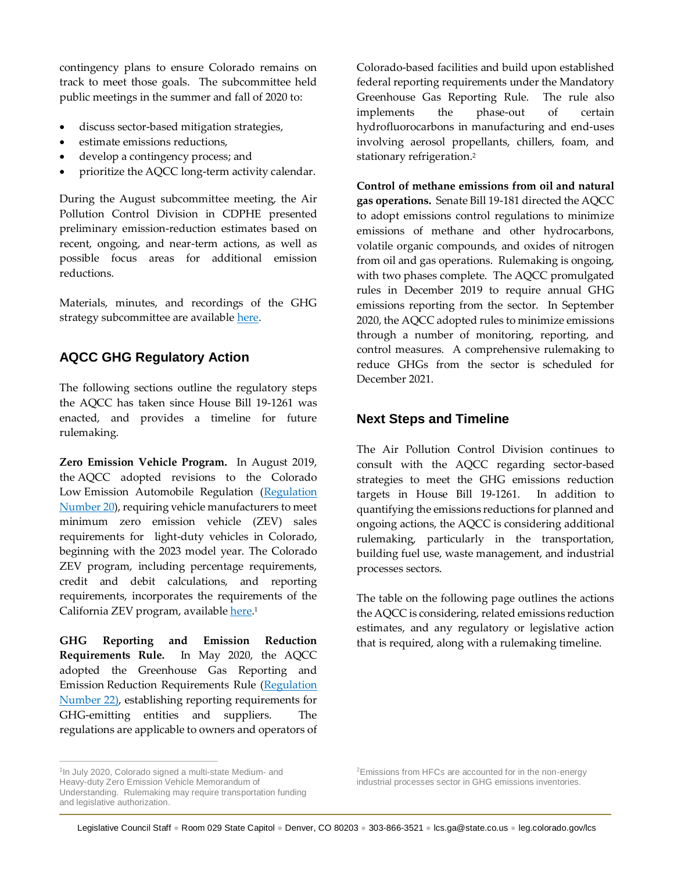contingency plans to ensure Colorado remains on track to meet those goals. The subcommittee held public meetings in the summer and fall of 2020 to:

- discuss sector-based mitigation strategies,
- estimate emissions reductions,
- develop a contingency process; and
- prioritize the AQCC long-term activity calendar.

During the August subcommittee meeting, the Air Pollution Control Division in CDPHE presented preliminary emission-reduction estimates based on recent, ongoing, and near-term actions, as well as possible focus areas for additional emission reductions.

Materials, minutes, and recordings of the GHG strategy subcommittee are availabl[e here.](https://www.colorado.gov/pacific/cdphe/aqcc)

### **AQCC GHG Regulatory Action**

The following sections outline the regulatory steps the AQCC has taken since House Bill 19-1261 was enacted, and provides a timeline for future rulemaking.

**Zero Emission Vehicle Program.** In August 2019, the AQCC adopted revisions to the Colorado Low Emission Automobile Regulation [\(Regulation](https://www.sos.state.co.us/CCR/DisplayRule.do?action=ruleinfo&ruleId=3282&deptID=16&agencyID=7&deptName=Department%20of%20Public%20Health%20and%20Environment&agencyName=Air%20Quality%20Control%20Commission&seriesNum=5%20CCR%201001-24)  [Number 20\)](https://www.sos.state.co.us/CCR/DisplayRule.do?action=ruleinfo&ruleId=3282&deptID=16&agencyID=7&deptName=Department%20of%20Public%20Health%20and%20Environment&agencyName=Air%20Quality%20Control%20Commission&seriesNum=5%20CCR%201001-24), requiring vehicle manufacturers to meet minimum zero emission vehicle (ZEV) sales requirements for light-duty vehicles in Colorado, beginning with the 2023 model year. The Colorado ZEV program, including percentage requirements, credit and debit calculations, and reporting requirements, incorporates the requirements of the California ZEV program, available <u>here</u>.1

**GHG Reporting and Emission Reduction Requirements Rule.** In May 2020, the AQCC adopted the Greenhouse Gas Reporting and Emission Reduction Requirements Rule [\(Regulation](https://www.sos.state.co.us/CCR/eDocketDetails.do?trackingNum=2020-00092)  [Number 22\)](https://www.sos.state.co.us/CCR/eDocketDetails.do?trackingNum=2020-00092), establishing reporting requirements for GHG-emitting entities and suppliers. The regulations are applicable to owners and operators of Colorado-based facilities and build upon established federal reporting requirements under the Mandatory Greenhouse Gas Reporting Rule. The rule also implements the phase-out of certain hydrofluorocarbons in manufacturing and end-uses involving aerosol propellants, chillers, foam, and stationary refrigeration. 2

**Control of methane emissions from oil and natural gas operations.** Senate Bill 19-181 directed the AQCC to adopt emissions control regulations to minimize emissions of methane and other hydrocarbons, volatile organic compounds, and oxides of nitrogen from oil and gas operations. Rulemaking is ongoing, with two phases complete. The AQCC promulgated rules in December 2019 to require annual GHG emissions reporting from the sector. In September 2020, the AQCC adopted rules to minimize emissions through a number of monitoring, reporting, and control measures. A comprehensive rulemaking to reduce GHGs from the sector is scheduled for December 2021.

#### **Next Steps and Timeline**

The Air Pollution Control Division continues to consult with the AQCC regarding sector-based strategies to meet the GHG emissions reduction targets in House Bill 19-1261. In addition to quantifying the emissions reductions for planned and ongoing actions, the AQCC is considering additional rulemaking, particularly in the transportation, building fuel use, waste management, and industrial processes sectors.

The table on the following page outlines the actions the AQCC is considering, related emissions reduction estimates, and any regulatory or legislative action that is required, along with a rulemaking timeline.

 $\overline{a}$ 

<sup>2</sup>Emissions from HFCs are accounted for in the non-energy industrial processes sector in GHG emissions inventories.

<sup>&</sup>lt;sup>1</sup>In July 2020, Colorado signed a multi-state Medium- and Heavy-duty Zero Emission Vehicle Memorandum of Understanding. Rulemaking may require transportation funding and legislative authorization.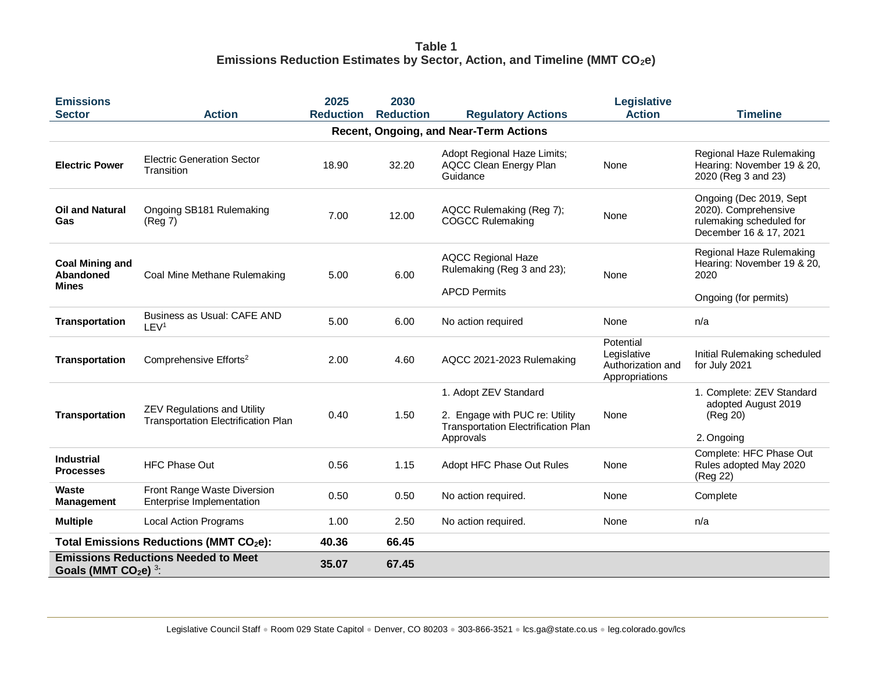### **Table 1 Emissions Reduction Estimates by Sector, Action, and Timeline (MMT CO2e)**

| <b>Emissions</b>                                                                 |                                                                                  | 2025             | 2030             |                                                                                                             | Legislative                                                     |                                                                                                       |  |  |  |  |
|----------------------------------------------------------------------------------|----------------------------------------------------------------------------------|------------------|------------------|-------------------------------------------------------------------------------------------------------------|-----------------------------------------------------------------|-------------------------------------------------------------------------------------------------------|--|--|--|--|
| <b>Sector</b>                                                                    | <b>Action</b>                                                                    | <b>Reduction</b> | <b>Reduction</b> | <b>Regulatory Actions</b>                                                                                   | <b>Action</b>                                                   | <b>Timeline</b>                                                                                       |  |  |  |  |
| Recent, Ongoing, and Near-Term Actions                                           |                                                                                  |                  |                  |                                                                                                             |                                                                 |                                                                                                       |  |  |  |  |
| <b>Electric Power</b>                                                            | <b>Electric Generation Sector</b><br>Transition                                  | 18.90            | 32.20            | Adopt Regional Haze Limits;<br><b>AQCC Clean Energy Plan</b><br>Guidance                                    | None                                                            | Regional Haze Rulemaking<br>Hearing: November 19 & 20,<br>2020 (Reg 3 and 23)                         |  |  |  |  |
| <b>Oil and Natural</b><br>Gas                                                    | Ongoing SB181 Rulemaking<br>(Reg 7)                                              | 7.00             | 12.00            | AQCC Rulemaking (Reg 7);<br><b>COGCC Rulemaking</b>                                                         | None                                                            | Ongoing (Dec 2019, Sept<br>2020). Comprehensive<br>rulemaking scheduled for<br>December 16 & 17, 2021 |  |  |  |  |
| <b>Coal Mining and</b><br>Abandoned<br><b>Mines</b>                              | Coal Mine Methane Rulemaking                                                     | 5.00             | 6.00             | <b>AQCC Regional Haze</b><br>Rulemaking (Reg 3 and 23);<br><b>APCD Permits</b>                              | None                                                            | Regional Haze Rulemaking<br>Hearing: November 19 & 20,<br>2020                                        |  |  |  |  |
|                                                                                  |                                                                                  |                  |                  |                                                                                                             |                                                                 | Ongoing (for permits)                                                                                 |  |  |  |  |
| <b>Transportation</b>                                                            | Business as Usual: CAFE AND<br>LEV <sup>1</sup>                                  | 5.00             | 6.00             | No action required                                                                                          | None                                                            | n/a                                                                                                   |  |  |  |  |
| <b>Transportation</b>                                                            | Comprehensive Efforts <sup>2</sup>                                               | 2.00             | 4.60             | AQCC 2021-2023 Rulemaking                                                                                   | Potential<br>Legislative<br>Authorization and<br>Appropriations | Initial Rulemaking scheduled<br>for July 2021                                                         |  |  |  |  |
| <b>Transportation</b>                                                            | <b>ZEV Regulations and Utility</b><br><b>Transportation Electrification Plan</b> | 0.40             | 1.50             | 1. Adopt ZEV Standard<br>2. Engage with PUC re: Utility<br>Transportation Electrification Plan<br>Approvals | None                                                            | 1. Complete: ZEV Standard<br>adopted August 2019<br>(Reg 20)<br>2. Ongoing                            |  |  |  |  |
| <b>Industrial</b><br><b>Processes</b>                                            | <b>HFC Phase Out</b>                                                             | 0.56             | 1.15             | Adopt HFC Phase Out Rules                                                                                   | None                                                            | Complete: HFC Phase Out<br>Rules adopted May 2020<br>(Reg 22)                                         |  |  |  |  |
| <b>Waste</b><br><b>Management</b>                                                | Front Range Waste Diversion<br>Enterprise Implementation                         | 0.50             | 0.50             | No action required.                                                                                         | None                                                            | Complete                                                                                              |  |  |  |  |
| <b>Multiple</b>                                                                  | <b>Local Action Programs</b>                                                     | 1.00             | 2.50             | No action required.                                                                                         | None                                                            | n/a                                                                                                   |  |  |  |  |
| Total Emissions Reductions (MMT CO <sub>2</sub> e):                              |                                                                                  | 40.36            | 66.45            |                                                                                                             |                                                                 |                                                                                                       |  |  |  |  |
| <b>Emissions Reductions Needed to Meet</b><br>Goals (MMT $CO2e$ ) <sup>3</sup> : |                                                                                  | 35.07            | 67.45            |                                                                                                             |                                                                 |                                                                                                       |  |  |  |  |